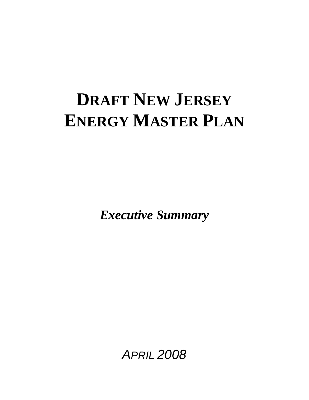# **DRAFT NEW JERSEY ENERGY MASTER PLAN**

*Executive Summary* 

*APRIL 2008*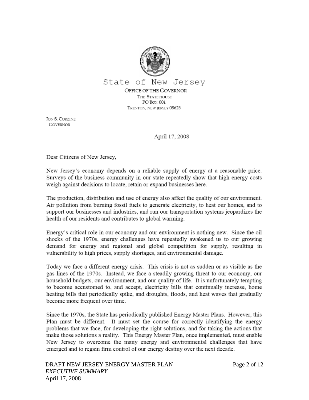

**JON S. CORZINE GOVERNOR** 

April 17, 2008

Dear Citizens of New Jersey,

New Jersey's economy depends on a reliable supply of energy at a reasonable price. Surveys of the business community in our state repeatedly show that high energy costs weigh against decisions to locate, retain or expand businesses here.

The production, distribution and use of energy also affect the quality of our environment. Air pollution from burning fossil fuels to generate electricity, to heat our homes, and to support our businesses and industries, and run our transportation systems jeopardizes the health of our residents and contributes to global warming.

Energy's critical role in our economy and our environment is nothing new. Since the oil shocks of the 1970s, energy challenges have repeatedly awakened us to our growing demand for energy and regional and global competition for supply, resulting in vulnerability to high prices, supply shortages, and environmental damage.

Today we face a different energy crisis. This crisis is not as sudden or as visible as the gas lines of the 1970s. Instead, we face a steadily growing threat to our economy, our household budgets, our environment, and our quality of life. It is unfortunately tempting to become accustomed to, and accept, electricity bills that continually increase, home heating bills that periodically spike, and droughts, floods, and heat waves that gradually become more frequent over time.

Since the 1970s, the State has periodically published Energy Master Plans. However, this Plan must be different. It must set the course for correctly identifying the energy problems that we face, for developing the right solutions, and for taking the actions that make those solutions a reality. This Energy Master Plan, once implemented, must enable New Jersey to overcome the many energy and environmental challenges that have emerged and to regain firm control of our energy destiny over the next decade.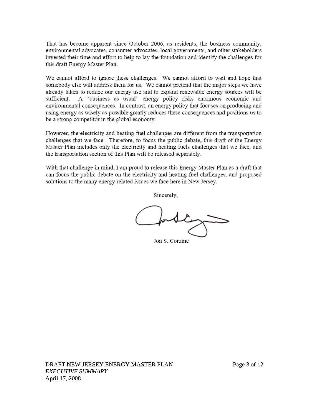That has become apparent since October 2006, as residents, the business community, environmental advocates, consumer advocates, local governments, and other stakeholders invested their time and effort to help to lay the foundation and identify the challenges for this draft Energy Master Plan.

We cannot afford to ignore these challenges. We cannot afford to wait and hope that somebody else will address them for us. We cannot pretend that the major steps we have already taken to reduce our energy use and to expand renewable energy sources will be sufficient. A "business as usual" energy policy risks enormous economic and environmental consequences. In contrast, an energy policy that focuses on producing and using energy as wisely as possible greatly reduces these consequences and positions us to be a strong competitor in the global economy.

However, the electricity and heating fuel challenges are different from the transportation challenges that we face. Therefore, to focus the public debate, this draft of the Energy Master Plan includes only the electricity and heating fuels challenges that we face, and the transportation section of this Plan will be released separately.

With that challenge in mind, I am proud to release this Energy Master Plan as a draft that can focus the public debate on the electricity and heating fuel challenges, and proposed solutions to the many energy related issues we face here in New Jersey.

Sincerely,

Jon S. Corzine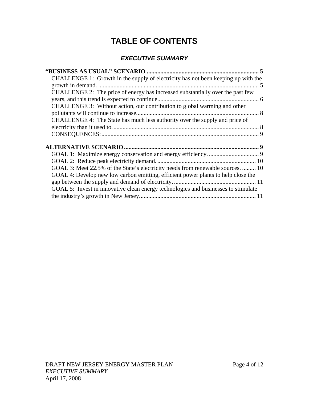# **TABLE OF CONTENTS**

# *EXECUTIVE SUMMARY*

| CHALLENGE 1: Growth in the supply of electricity has not been keeping up with the  |  |
|------------------------------------------------------------------------------------|--|
|                                                                                    |  |
| CHALLENGE 2: The price of energy has increased substantially over the past few     |  |
|                                                                                    |  |
| CHALLENGE 3: Without action, our contribution to global warming and other          |  |
|                                                                                    |  |
| CHALLENGE 4: The State has much less authority over the supply and price of        |  |
|                                                                                    |  |
|                                                                                    |  |
|                                                                                    |  |
|                                                                                    |  |
|                                                                                    |  |
|                                                                                    |  |
| GOAL 3: Meet 22.5% of the State's electricity needs from renewable sources.  10    |  |
| GOAL 4: Develop new low carbon emitting, efficient power plants to help close the  |  |
|                                                                                    |  |
|                                                                                    |  |
| GOAL 5: Invest in innovative clean energy technologies and businesses to stimulate |  |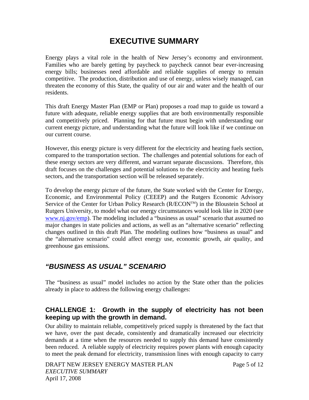# **EXECUTIVE SUMMARY**

<span id="page-4-0"></span>Energy plays a vital role in the health of New Jersey's economy and environment. Families who are barely getting by paycheck to paycheck cannot bear ever-increasing energy bills; businesses need affordable and reliable supplies of energy to remain competitive. The production, distribution and use of energy, unless wisely managed, can threaten the economy of this State, the quality of our air and water and the health of our residents.

This draft Energy Master Plan (EMP or Plan) proposes a road map to guide us toward a future with adequate, reliable energy supplies that are both environmentally responsible and competitively priced. Planning for that future must begin with understanding our current energy picture, and understanding what the future will look like if we continue on our current course.

However, this energy picture is very different for the electricity and heating fuels section, compared to the transportation section. The challenges and potential solutions for each of these energy sectors are very different, and warrant separate discussions. Therefore, this draft focuses on the challenges and potential solutions to the electricity and heating fuels sectors, and the transportation section will be released separately.

To develop the energy picture of the future, the State worked with the Center for Energy, Economic, and Environmental Policy (CEEEP) and the Rutgers Economic Advisory Service of the Center for Urban Policy Research (R/ECON™) in the Bloustein School at Rutgers University, to model what our energy circumstances would look like in 2020 (see [www.nj.gov/emp](http://www.nj.gov/emp)). The modeling included a "business as usual" scenario that assumed no major changes in state policies and actions, as well as an "alternative scenario" reflecting changes outlined in this draft Plan. The modeling outlines how "business as usual" and the "alternative scenario" could affect energy use, economic growth, air quality, and greenhouse gas emissions.

# *"BUSINESS AS USUAL" SCENARIO*

The "business as usual" model includes no action by the State other than the policies already in place to address the following energy challenges:

# **CHALLENGE 1: Growth in the supply of electricity has not been keeping up with the growth in demand.**

Our ability to maintain reliable, competitively priced supply is threatened by the fact that we have, over the past decade, consistently and dramatically increased our electricity demands at a time when the resources needed to supply this demand have consistently been reduced. A reliable supply of electricity requires power plants with enough capacity to meet the peak demand for electricity, transmission lines with enough capacity to carry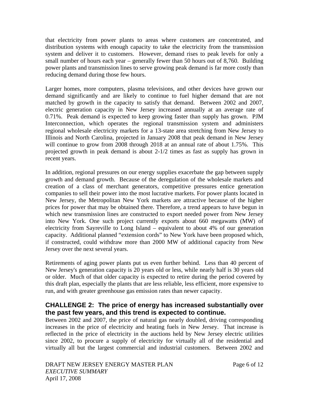<span id="page-5-0"></span>that electricity from power plants to areas where customers are concentrated, and distribution systems with enough capacity to take the electricity from the transmission system and deliver it to customers. However, demand rises to peak levels for only a small number of hours each year – generally fewer than 50 hours out of 8,760. Building power plants and transmission lines to serve growing peak demand is far more costly than reducing demand during those few hours.

Larger homes, more computers, plasma televisions, and other devices have grown our demand significantly and are likely to continue to fuel higher demand that are not matched by growth in the capacity to satisfy that demand. Between 2002 and 2007, electric generation capacity in New Jersey increased annually at an average rate of 0.71%. Peak demand is expected to keep growing faster than supply has grown. PJM Interconnection, which operates the regional transmission system and administers regional wholesale electricity markets for a 13-state area stretching from New Jersey to Illinois and North Carolina, projected in January 2008 that peak demand in New Jersey will continue to grow from 2008 through 2018 at an annual rate of about 1.75%. This projected growth in peak demand is about 2-1/2 times as fast as supply has grown in recent years.

In addition, regional pressures on our energy supplies exacerbate the gap between supply growth and demand growth. Because of the deregulation of the wholesale markets and creation of a class of merchant generators, competitive pressures entice generation companies to sell their power into the most lucrative markets. For power plants located in New Jersey, the Metropolitan New York markets are attractive because of the higher prices for power that may be obtained there. Therefore, a trend appears to have begun in which new transmission lines are constructed to export needed power from New Jersey into New York. One such project currently exports about 660 megawatts (MW) of electricity from Sayreville to Long Island – equivalent to about 4% of our generation capacity. Additional planned "extension cords" to New York have been proposed which, if constructed, could withdraw more than 2000 MW of additional capacity from New Jersey over the next several years.

Retirements of aging power plants put us even further behind. Less than 40 percent of New Jersey's generation capacity is 20 years old or less, while nearly half is 30 years old or older. Much of that older capacity is expected to retire during the period covered by this draft plan, especially the plants that are less reliable, less efficient, more expensive to run, and with greater greenhouse gas emission rates than newer capacity.

#### **CHALLENGE 2: The price of energy has increased substantially over the past few years, and this trend is expected to continue.**

Between 2002 and 2007, the price of natural gas nearly doubled, driving corresponding increases in the price of electricity and heating fuels in New Jersey. That increase is reflected in the price of electricity in the auctions held by New Jersey electric utilities since 2002, to procure a supply of electricity for virtually all of the residential and virtually all but the largest commercial and industrial customers. Between 2002 and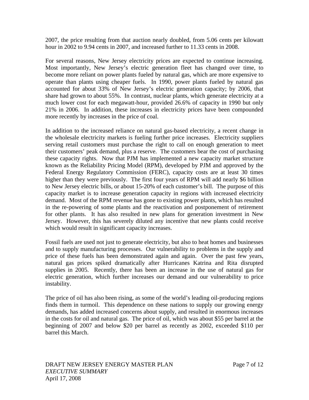2007, the price resulting from that auction nearly doubled, from 5.06 cents per kilowatt hour in 2002 to 9.94 cents in 2007, and increased further to 11.33 cents in 2008.

For several reasons, New Jersey electricity prices are expected to continue increasing. Most importantly, New Jersey's electric generation fleet has changed over time, to become more reliant on power plants fueled by natural gas, which are more expensive to operate than plants using cheaper fuels. In 1990, power plants fueled by natural gas accounted for about 33% of New Jersey's electric generation capacity; by 2006, that share had grown to about 55%. In contrast, nuclear plants, which generate electricity at a much lower cost for each megawatt-hour, provided 26.6% of capacity in 1990 but only 21% in 2006. In addition, these increases in electricity prices have been compounded more recently by increases in the price of coal.

In addition to the increased reliance on natural gas-based electricity, a recent change in the wholesale electricity markets is fueling further price increases. Electricity suppliers serving retail customers must purchase the right to call on enough generation to meet their customers' peak demand, plus a reserve. The customers bear the cost of purchasing these capacity rights. Now that PJM has implemented a new capacity market structure known as the Reliability Pricing Model (RPM), developed by PJM and approved by the Federal Energy Regulatory Commission (FERC), capacity costs are at least 30 times higher than they were previously. The first four years of RPM will add nearly \$6 billion to New Jersey electric bills, or about 15-20% of each customer's bill. The purpose of this capacity market is to increase generation capacity in regions with increased electricity demand. Most of the RPM revenue has gone to existing power plants, which has resulted in the re-powering of some plants and the reactivation and postponement of retirement for other plants. It has also resulted in new plans for generation investment in New Jersey. However, this has severely diluted any incentive that new plants could receive which would result in significant capacity increases.

Fossil fuels are used not just to generate electricity, but also to heat homes and businesses and to supply manufacturing processes. Our vulnerability to problems in the supply and price of these fuels has been demonstrated again and again. Over the past few years, natural gas prices spiked dramatically after Hurricanes Katrina and Rita disrupted supplies in 2005. Recently, there has been an increase in the use of natural gas for electric generation, which further increases our demand and our vulnerability to price instability.

The price of oil has also been rising, as some of the world's leading oil-producing regions finds them in turmoil. This dependence on these nations to supply our growing energy demands, has added increased concerns about supply, and resulted in enormous increases in the costs for oil and natural gas. The price of oil, which was about \$55 per barrel at the beginning of 2007 and below \$20 per barrel as recently as 2002, exceeded \$110 per barrel this March.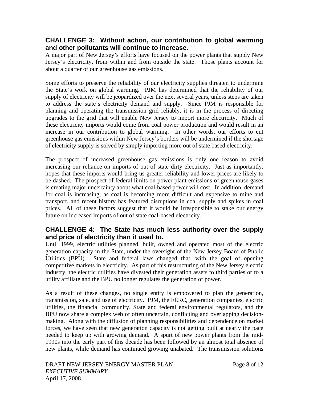#### <span id="page-7-0"></span>**CHALLENGE 3: Without action, our contribution to global warming and other pollutants will continue to increase.**

A major part of New Jersey's efforts have focused on the power plants that supply New Jersey's electricity, from within and from outside the state. Those plants account for about a quarter of our greenhouse gas emissions.

Some efforts to preserve the reliability of our electricity supplies threaten to undermine the State's work on global warming. PJM has determined that the reliability of our supply of electricity will be jeopardized over the next several years, unless steps are taken to address the state's electricity demand and supply. Since PJM is responsible for planning and operating the transmission grid reliably, it is in the process of directing upgrades to the grid that will enable New Jersey to import more electricity. Much of these electricity imports would come from coal power production and would result in an increase in our contribution to global warming. In other words, our efforts to cut greenhouse gas emissions within New Jersey's borders will be undermined if the shortage of electricity supply is solved by simply importing more out of state based electricity.

The prospect of increased greenhouse gas emissions is only one reason to avoid increasing our reliance on imports of out of state dirty electricity. Just as importantly, hopes that these imports would bring us greater reliability and lower prices are likely to be dashed. The prospect of federal limits on power plant emissions of greenhouse gases is creating major uncertainty about what coal-based power will cost. In addition, demand for coal is increasing, as coal is becoming more difficult and expensive to mine and transport, and recent history has featured disruptions in coal supply and spikes in coal prices. All of these factors suggest that it would be irresponsible to stake our energy future on increased imports of out of state coal-based electricity.

#### **CHALLENGE 4: The State has much less authority over the supply and price of electricity than it used to.**

Until 1999, electric utilities planned, built, owned and operated most of the electric generation capacity in the State, under the oversight of the New Jersey Board of Public Utilities (BPU). State and federal laws changed that, with the goal of opening competitive markets in electricity. As part of this restructuring of the New Jersey electric industry, the electric utilities have divested their generation assets to third parties or to a utility affiliate and the BPU no longer regulates the generation of power.

As a result of these changes, no single entity is empowered to plan the generation, transmission, sale, and use of electricity. PJM, the FERC, generation companies, electric utilities, the financial community, State and federal environmental regulators, and the BPU now share a complex web of often uncertain, conflicting and overlapping decisionmaking. Along with the diffusion of planning responsibilities and dependence on market forces, we have seen that new generation capacity is not getting built at nearly the pace needed to keep up with growing demand. A spurt of new power plants from the mid-1990s into the early part of this decade has been followed by an almost total absence of new plants, while demand has continued growing unabated. The transmission solutions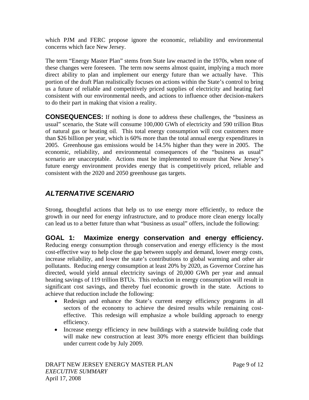<span id="page-8-0"></span>which PJM and FERC propose ignore the economic, reliability and environmental concerns which face New Jersey.

The term "Energy Master Plan" stems from State law enacted in the 1970s, when none of these changes were foreseen. The term now seems almost quaint, implying a much more direct ability to plan and implement our energy future than we actually have. This portion of the draft Plan realistically focuses on actions within the State's control to bring us a future of reliable and competitively priced supplies of electricity and heating fuel consistent with our environmental needs, and actions to influence other decision-makers to do their part in making that vision a reality.

**CONSEQUENCES:** If nothing is done to address these challenges, the "business as usual" scenario, the State will consume 100,000 GWh of electricity and 590 trillion Btus of natural gas or heating oil. This total energy consumption will cost customers more than \$26 billion per year, which is 60% more than the total annual energy expenditures in 2005. Greenhouse gas emissions would be 14.5% higher than they were in 2005. The economic, reliability, and environmental consequences of the "business as usual" scenario are unacceptable. Actions must be implemented to ensure that New Jersey's future energy environment provides energy that is competitively priced, reliable and consistent with the 2020 and 2050 greenhouse gas targets.

# *ALTERNATIVE SCENARIO*

Strong, thoughtful actions that help us to use energy more efficiently, to reduce the growth in our need for energy infrastructure, and to produce more clean energy locally can lead us to a better future than what "business as usual" offers, include the following:

**GOAL 1: Maximize energy conservation and energy efficiency.** Reducing energy consumption through conservation and energy efficiency is the most cost-effective way to help close the gap between supply and demand, lower energy costs, increase reliability, and lower the state's contributions to global warming and other air pollutants. Reducing energy consumption at least 20% by 2020, as Governor Corzine has directed, would yield annual electricity savings of 20,000 GWh per year and annual heating savings of 119 trillion BTUs. This reduction in energy consumption will result in significant cost savings, and thereby fuel economic growth in the state. Actions to achieve that reduction include the following:

- Redesign and enhance the State's current energy efficiency programs in all sectors of the economy to achieve the desired results while remaining costeffective. This redesign will emphasize a whole building approach to energy efficiency.
- Increase energy efficiency in new buildings with a statewide building code that will make new construction at least 30% more energy efficient than buildings under current code by July 2009.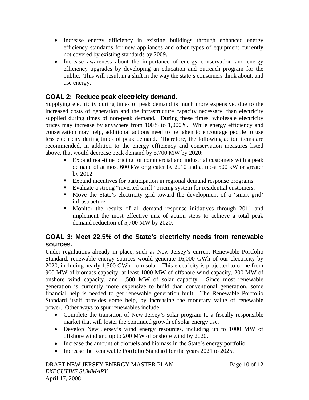- <span id="page-9-0"></span>• Increase energy efficiency in existing buildings through enhanced energy efficiency standards for new appliances and other types of equipment currently not covered by existing standards by 2009.
- Increase awareness about the importance of energy conservation and energy efficiency upgrades by developing an education and outreach program for the public. This will result in a shift in the way the state's consumers think about, and use energy.

# **GOAL 2: Reduce peak electricity demand.**

Supplying electricity during times of peak demand is much more expensive, due to the increased costs of generation and the infrastructure capacity necessary, than electricity supplied during times of non-peak demand. During these times, wholesale electricity prices may increase by anywhere from 100% to 1,000%. While energy efficiency and conservation may help, additional actions need to be taken to encourage people to use less electricity during times of peak demand. Therefore, the following action items are recommended, in addition to the energy efficiency and conservation measures listed above, that would decrease peak demand by 5,700 MW by 2020:

- Expand real-time pricing for commercial and industrial customers with a peak demand of at most 600 kW or greater by 2010 and at most 500 kW or greater by 2012.
- Expand incentives for participation in regional demand response programs.
- Evaluate a strong "inverted tariff" pricing system for residential customers.
- Move the State's electricity grid toward the development of a 'smart grid' infrastructure.
- Monitor the results of all demand response initiatives through 2011 and implement the most effective mix of action steps to achieve a total peak demand reduction of 5,700 MW by 2020.

# **GOAL 3: Meet 22.5% of the State's electricity needs from renewable sources.**

Under regulations already in place, such as New Jersey's current Renewable Portfolio Standard, renewable energy sources would generate 16,000 GWh of our electricity by 2020, including nearly 1,500 GWh from solar. This electricity is projected to come from 900 MW of biomass capacity, at least 1000 MW of offshore wind capacity, 200 MW of onshore wind capacity, and 1,500 MW of solar capacity. Since most renewable generation is currently more expensive to build than conventional generation, some financial help is needed to get renewable generation built. The Renewable Portfolio Standard itself provides some help, by increasing the monetary value of renewable power. Other ways to spur renewables include:

- Complete the transition of New Jersey's solar program to a fiscally responsible market that will foster the continued growth of solar energy use.
- Develop New Jersey's wind energy resources, including up to 1000 MW of offshore wind and up to 200 MW of onshore wind by 2020.
- Increase the amount of biofuels and biomass in the State's energy portfolio.
- Increase the Renewable Portfolio Standard for the years 2021 to 2025.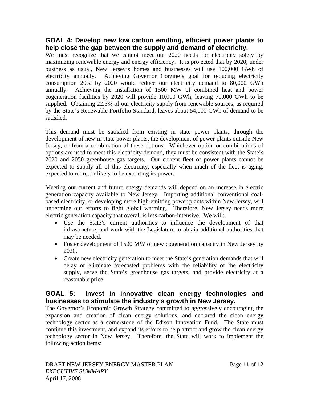#### <span id="page-10-0"></span>**GOAL 4: Develop new low carbon emitting, efficient power plants to help close the gap between the supply and demand of electricity.**

We must recognize that we cannot meet our 2020 needs for electricity solely by maximizing renewable energy and energy efficiency. It is projected that by 2020, under business as usual, New Jersey's homes and businesses will use 100,000 GWh of electricity annually. Achieving Governor Corzine's goal for reducing electricity consumption 20% by 2020 would reduce our electricity demand to 80,000 GWh annually. Achieving the installation of 1500 MW of combined heat and power cogeneration facilities by 2020 will provide 10,000 GWh, leaving 70,000 GWh to be supplied. Obtaining 22.5% of our electricity supply from renewable sources, as required by the State's Renewable Portfolio Standard, leaves about 54,000 GWh of demand to be satisfied.

This demand must be satisfied from existing in state power plants, through the development of new in state power plants, the development of power plants outside New Jersey, or from a combination of these options. Whichever option or combinations of options are used to meet this electricity demand, they must be consistent with the State's 2020 and 2050 greenhouse gas targets. Our current fleet of power plants cannot be expected to supply all of this electricity, especially when much of the fleet is aging, expected to retire, or likely to be exporting its power.

Meeting our current and future energy demands will depend on an increase in electric generation capacity available to New Jersey. Importing additional conventional coalbased electricity, or developing more high-emitting power plants within New Jersey, will undermine our efforts to fight global warming. Therefore, New Jersey needs more electric generation capacity that overall is less carbon-intensive. We will:

- Use the State's current authorities to influence the development of that infrastructure, and work with the Legislature to obtain additional authorities that may be needed.
- Foster development of 1500 MW of new cogeneration capacity in New Jersey by 2020.
- Create new electricity generation to meet the State's generation demands that will delay or eliminate forecasted problems with the reliability of the electricity supply, serve the State's greenhouse gas targets, and provide electricity at a reasonable price.

# **GOAL 5: Invest in innovative clean energy technologies and businesses to stimulate the industry's growth in New Jersey.**

The Governor's Economic Growth Strategy committed to aggressively encouraging the expansion and creation of clean energy solutions, and declared the clean energy technology sector as a cornerstone of the Edison Innovation Fund. The State must continue this investment, and expand its efforts to help attract and grow the clean energy technology sector in New Jersey. Therefore, the State will work to implement the following action items: